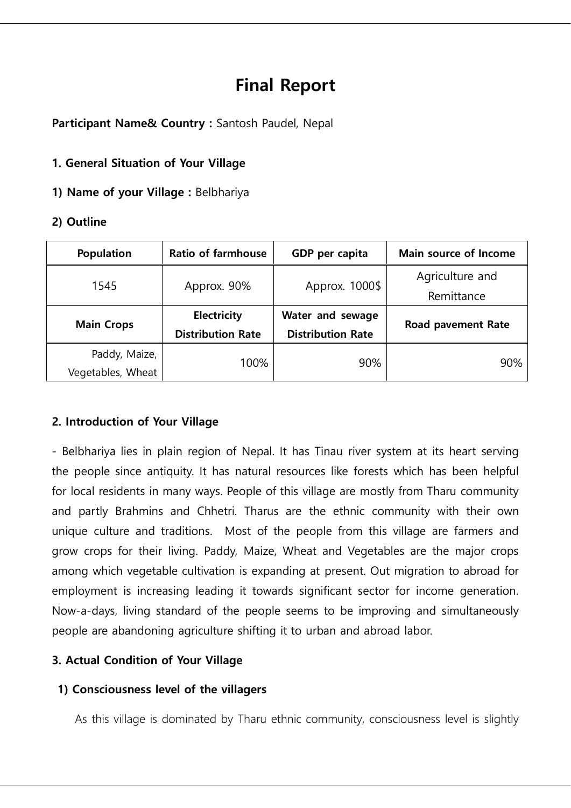# **Final Report**

**Participant Name& Country :** Santosh Paudel, Nepal

## **1. General Situation of Your Village**

**1) Name of your Village :** Belbhariya

## **2) Outline**

| <b>Population</b> | <b>Ratio of farmhouse</b> | GDP per capita           | Main source of Income     |  |  |
|-------------------|---------------------------|--------------------------|---------------------------|--|--|
| 1545              | Approx. 90%               | Approx. 1000\$           | Agriculture and           |  |  |
|                   |                           |                          | Remittance                |  |  |
| <b>Main Crops</b> | Electricity               | Water and sewage         | <b>Road pavement Rate</b> |  |  |
|                   | <b>Distribution Rate</b>  | <b>Distribution Rate</b> |                           |  |  |
| Paddy, Maize,     | 100%                      | 90%                      | 90%                       |  |  |
| Vegetables, Wheat |                           |                          |                           |  |  |

# **2. Introduction of Your Village**

- Belbhariya lies in plain region of Nepal. It has Tinau river system at its heart serving the people since antiquity. It has natural resources like forests which has been helpful for local residents in many ways. People of this village are mostly from Tharu community and partly Brahmins and Chhetri. Tharus are the ethnic community with their own unique culture and traditions. Most of the people from this village are farmers and grow crops for their living. Paddy, Maize, Wheat and Vegetables are the major crops among which vegetable cultivation is expanding at present. Out migration to abroad for employment is increasing leading it towards significant sector for income generation. Now-a-days, living standard of the people seems to be improving and simultaneously people are abandoning agriculture shifting it to urban and abroad labor.

# **3. Actual Condition of Your Village**

#### **1) Consciousness level of the villagers**

As this village is dominated by Tharu ethnic community, consciousness level is slightly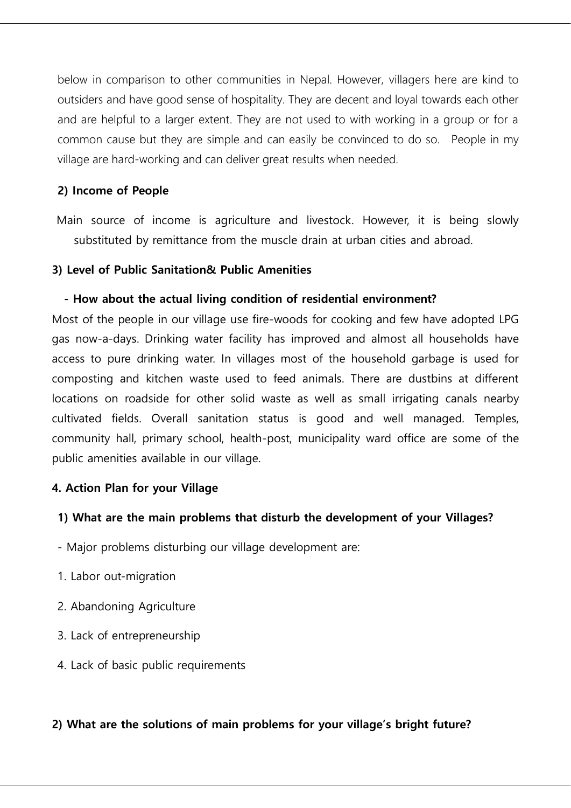below in comparison to other communities in Nepal. However, villagers here are kind to outsiders and have good sense of hospitality. They are decent and loyal towards each other and are helpful to a larger extent. They are not used to with working in a group or for a common cause but they are simple and can easily be convinced to do so. People in my village are hard-working and can deliver great results when needed.

# **2) Income of People**

Main source of income is agriculture and livestock. However, it is being slowly substituted by remittance from the muscle drain at urban cities and abroad.

#### **3) Level of Public Sanitation& Public Amenities**

#### **- How about the actual living condition of residential environment?**

Most of the people in our village use fire-woods for cooking and few have adopted LPG gas now-a-days. Drinking water facility has improved and almost all households have access to pure drinking water. In villages most of the household garbage is used for composting and kitchen waste used to feed animals. There are dustbins at different locations on roadside for other solid waste as well as small irrigating canals nearby cultivated fields. Overall sanitation status is good and well managed. Temples, community hall, primary school, health-post, municipality ward office are some of the public amenities available in our village.

# **4. Action Plan for your Village**

#### **1) What are the main problems that disturb the development of your Villages?**

- Major problems disturbing our village development are:
- 1. Labor out-migration
- 2. Abandoning Agriculture
- 3. Lack of entrepreneurship
- 4. Lack of basic public requirements

#### **2) What are the solutions of main problems for your village's bright future?**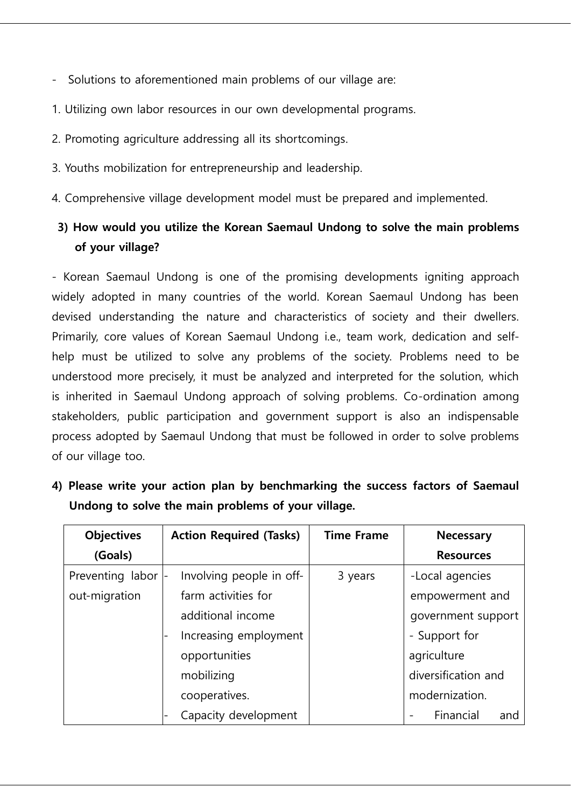- Solutions to aforementioned main problems of our village are:
- 1. Utilizing own labor resources in our own developmental programs.
- 2. Promoting agriculture addressing all its shortcomings.
- 3. Youths mobilization for entrepreneurship and leadership.
- 4. Comprehensive village development model must be prepared and implemented.

# **3) How would you utilize the Korean Saemaul Undong to solve the main problems of your village?**

- Korean Saemaul Undong is one of the promising developments igniting approach widely adopted in many countries of the world. Korean Saemaul Undong has been devised understanding the nature and characteristics of society and their dwellers. Primarily, core values of Korean Saemaul Undong i.e., team work, dedication and selfhelp must be utilized to solve any problems of the society. Problems need to be understood more precisely, it must be analyzed and interpreted for the solution, which is inherited in Saemaul Undong approach of solving problems. Co-ordination among stakeholders, public participation and government support is also an indispensable process adopted by Saemaul Undong that must be followed in order to solve problems of our village too.

|  |  |  |  |                                                    |  |  | 4) Please write your action plan by benchmarking the success factors of Saemaul |
|--|--|--|--|----------------------------------------------------|--|--|---------------------------------------------------------------------------------|
|  |  |  |  | Undong to solve the main problems of your village. |  |  |                                                                                 |

| <b>Objectives</b> | <b>Action Required (Tasks)</b> | <b>Time Frame</b> | Necessary           |
|-------------------|--------------------------------|-------------------|---------------------|
| (Goals)           |                                |                   | <b>Resources</b>    |
| Preventing labor  | Involving people in off-       | 3 years           | -Local agencies     |
| out-migration     | farm activities for            |                   | empowerment and     |
|                   | additional income              |                   | government support  |
|                   | Increasing employment          |                   | - Support for       |
|                   | opportunities                  |                   | agriculture         |
|                   | mobilizing                     |                   | diversification and |
|                   | cooperatives.                  |                   | modernization.      |
|                   | Capacity development           |                   | Financial<br>and    |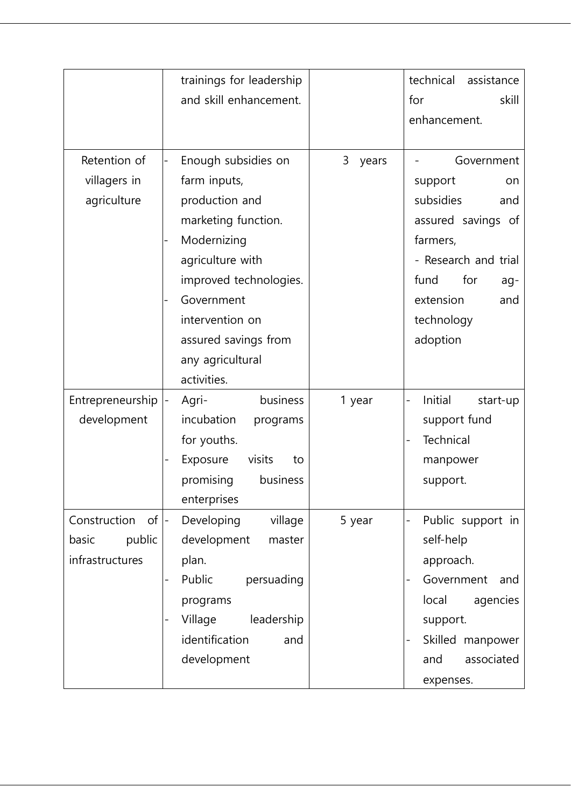|                    | trainings for leadership |            | technical<br>assistance |  |  |
|--------------------|--------------------------|------------|-------------------------|--|--|
|                    | and skill enhancement.   |            | for<br>skill            |  |  |
|                    |                          |            | enhancement.            |  |  |
|                    |                          |            |                         |  |  |
| Retention of       | Enough subsidies on      | 3<br>years | Government              |  |  |
| villagers in       | farm inputs,             |            | support<br>on           |  |  |
| agriculture        | production and           |            | subsidies<br>and        |  |  |
|                    | marketing function.      |            | assured savings of      |  |  |
|                    | Modernizing              |            | farmers,                |  |  |
|                    | agriculture with         |            | - Research and trial    |  |  |
|                    | improved technologies.   |            | fund<br>for<br>ag-      |  |  |
|                    | Government               |            | extension<br>and        |  |  |
|                    | intervention on          |            | technology              |  |  |
|                    | assured savings from     |            | adoption                |  |  |
|                    | any agricultural         |            |                         |  |  |
|                    | activities.              |            |                         |  |  |
| Entrepreneurship   | business<br>Agri-        | 1 year     | Initial<br>start-up     |  |  |
| development        | incubation<br>programs   |            | support fund            |  |  |
|                    | for youths.              |            | Technical               |  |  |
|                    | Exposure<br>visits<br>to |            | manpower                |  |  |
|                    | promising<br>business    |            | support.                |  |  |
|                    | enterprises              |            |                         |  |  |
| Construction<br>of | Developing<br>village    | 5 year     | Public support in       |  |  |
| public<br>basic    | development<br>master    |            | self-help               |  |  |
| infrastructures    | plan.                    |            | approach.               |  |  |
|                    | Public<br>persuading     |            | Government<br>and       |  |  |
|                    | programs                 |            | local<br>agencies       |  |  |
|                    | leadership<br>Village    |            | support.                |  |  |
|                    | identification<br>and    |            | Skilled manpower<br>-   |  |  |
|                    | development              |            | associated<br>and       |  |  |
|                    |                          |            | expenses.               |  |  |